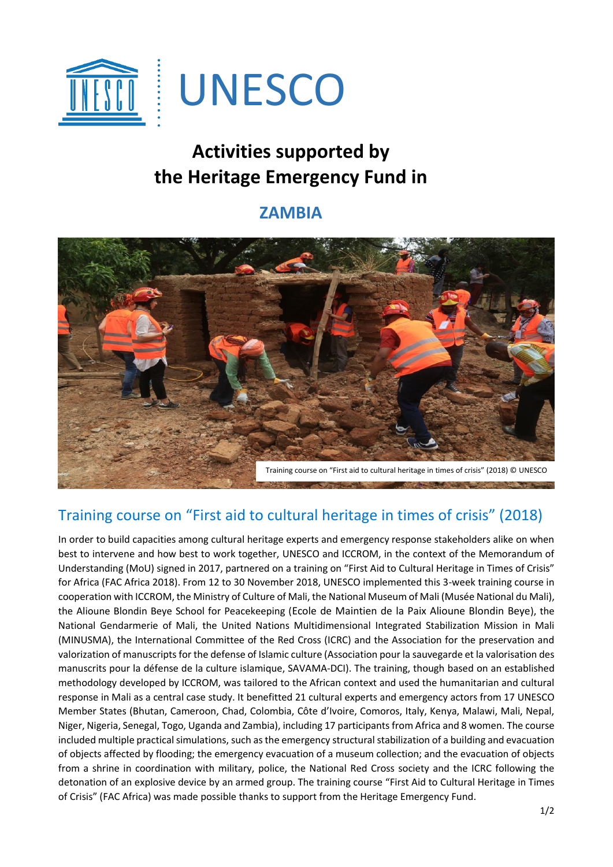

## **Activities supported by the Heritage Emergency Fund in**

## **ZAMBIA**



## Training course on "First aid to cultural heritage in times of crisis" (2018)

In order to build capacities among cultural heritage experts and emergency response stakeholders alike on when best to intervene and how best to work together, UNESCO and ICCROM, in the context of the Memorandum of Understanding (MoU) signed in 2017, partnered on a training on "First Aid to Cultural Heritage in Times of Crisis" for Africa (FAC Africa 2018). From 12 to 30 November 2018, UNESCO implemented this 3-week training course in cooperation with ICCROM, the Ministry of Culture of Mali, the National Museum of Mali (Musée National du Mali), the Alioune Blondin Beye School for Peacekeeping (Ecole de Maintien de la Paix Alioune Blondin Beye), the National Gendarmerie of Mali, the United Nations Multidimensional Integrated Stabilization Mission in Mali (MINUSMA), the International Committee of the Red Cross (ICRC) and the Association for the preservation and valorization of manuscripts for the defense of Islamic culture (Association pour la sauvegarde et la valorisation des manuscrits pour la défense de la culture islamique, SAVAMA-DCI). The training, though based on an established methodology developed by ICCROM, was tailored to the African context and used the humanitarian and cultural response in Mali as a central case study. It benefitted 21 cultural experts and emergency actors from 17 UNESCO Member States (Bhutan, Cameroon, Chad, Colombia, Côte d'Ivoire, Comoros, Italy, Kenya, Malawi, Mali, Nepal, Niger, Nigeria, Senegal, Togo, Uganda and Zambia), including 17 participants from Africa and 8 women. The course included multiple practical simulations, such as the emergency structural stabilization of a building and evacuation of objects affected by flooding; the emergency evacuation of a museum collection; and the evacuation of objects from a shrine in coordination with military, police, the National Red Cross society and the ICRC following the detonation of an explosive device by an armed group. The training course "First Aid to Cultural Heritage in Times of Crisis" (FAC Africa) was made possible thanks to support from the Heritage Emergency Fund.